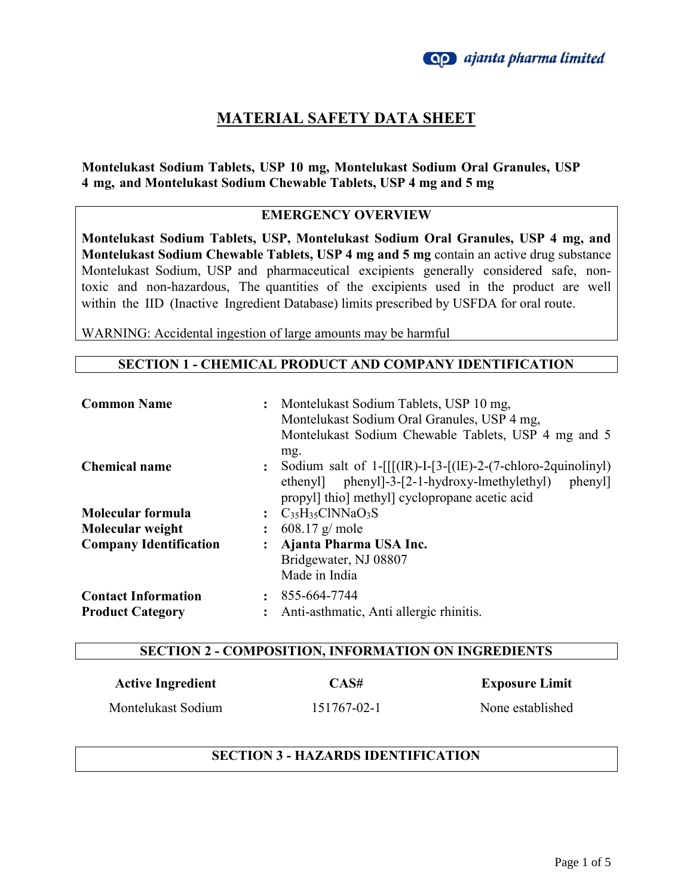## **MATERIAL SAFETY DATA SHEET**

### **Montelukast Sodium Tablets, USP 10 mg, Montelukast Sodium Oral Granules, USP 4 mg, and Montelukast Sodium Chewable Tablets, USP 4 mg and 5 mg**

#### **EMERGENCY OVERVIEW**

**Montelukast Sodium Tablets, USP, Montelukast Sodium Oral Granules, USP 4 mg, and Montelukast Sodium Chewable Tablets, USP 4 mg and 5 mg** contain an active drug substance Montelukast Sodium, USP and pharmaceutical excipients generally considered safe, nontoxic and non-hazardous, The quantities of the excipients used in the product are well within the IID (Inactive Ingredient Database) limits prescribed by USFDA for oral route.

WARNING: Accidental ingestion of large amounts may be harmful

#### **SECTION 1 - CHEMICAL PRODUCT AND COMPANY IDENTIFICATION**

| <b>Common Name</b>                                    |                | Montelukast Sodium Tablets, USP 10 mg,<br>Montelukast Sodium Oral Granules, USP 4 mg,<br>Montelukast Sodium Chewable Tablets, USP 4 mg and 5<br>mg.                          |
|-------------------------------------------------------|----------------|------------------------------------------------------------------------------------------------------------------------------------------------------------------------------|
| <b>Chemical name</b>                                  | $\ddot{\cdot}$ | Sodium salt of $1-[[[(1R)-1-[3-[(1E)-2-(7-chloro-2quinoliny])$<br>ethenyl phenyl - 3-[2-1-hydroxy-lmethylethyl]<br>phenyl]<br>propyl] thio] methyl] cyclopropane acetic acid |
| Molecular formula                                     |                | $C_{35}H_{35}CINNaO_3S$                                                                                                                                                      |
| Molecular weight                                      |                | $608.17$ g/ mole                                                                                                                                                             |
| <b>Company Identification</b>                         |                | Ajanta Pharma USA Inc.<br>Bridgewater, NJ 08807<br>Made in India                                                                                                             |
| <b>Contact Information</b><br><b>Product Category</b> |                | 855-664-7744<br>Anti-asthmatic, Anti allergic rhinitis.                                                                                                                      |

#### **SECTION 2 - COMPOSITION, INFORMATION ON INGREDIENTS**

| <b>Active Ingredient</b> | CAS#        | <b>Exposure Limit</b> |
|--------------------------|-------------|-----------------------|
| Montelukast Sodium       | 151767-02-1 | None established      |

#### **SECTION 3 - HAZARDS IDENTIFICATION**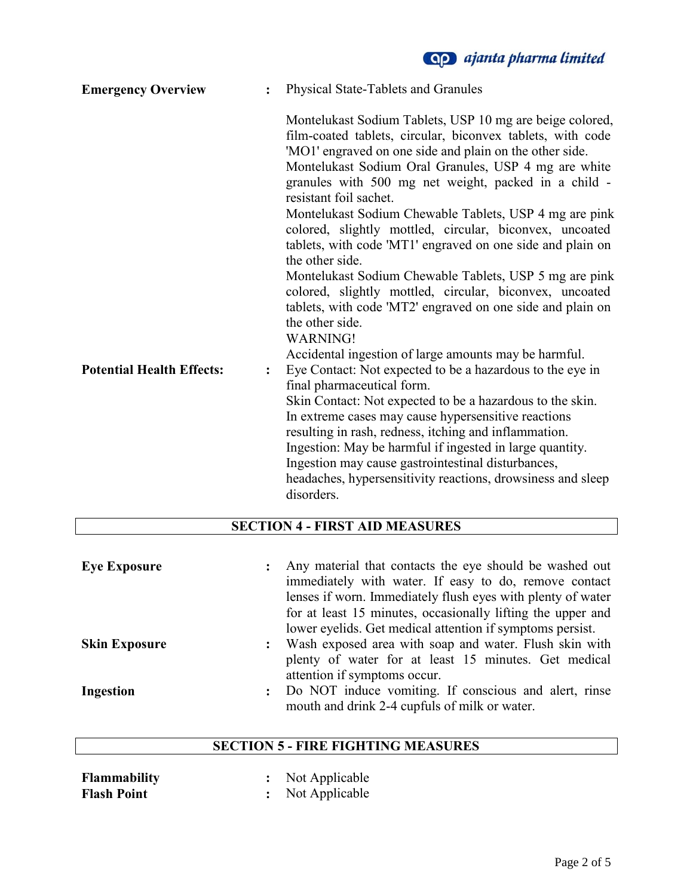**Qp** ajanta pharma limited

| <b>Emergency Overview</b>        | $\ddot{\cdot}$ | Physical State-Tablets and Granules                                                                                                                                                                                                                                                                                                                                                                                                                                                                                                                                                         |
|----------------------------------|----------------|---------------------------------------------------------------------------------------------------------------------------------------------------------------------------------------------------------------------------------------------------------------------------------------------------------------------------------------------------------------------------------------------------------------------------------------------------------------------------------------------------------------------------------------------------------------------------------------------|
|                                  |                | Montelukast Sodium Tablets, USP 10 mg are beige colored,<br>film-coated tablets, circular, biconvex tablets, with code<br>'MO1' engraved on one side and plain on the other side.<br>Montelukast Sodium Oral Granules, USP 4 mg are white<br>granules with 500 mg net weight, packed in a child -<br>resistant foil sachet.<br>Montelukast Sodium Chewable Tablets, USP 4 mg are pink<br>colored, slightly mottled, circular, biconvex, uncoated<br>tablets, with code 'MT1' engraved on one side and plain on<br>the other side.<br>Montelukast Sodium Chewable Tablets, USP 5 mg are pink |
|                                  |                | colored, slightly mottled, circular, biconvex, uncoated<br>tablets, with code 'MT2' engraved on one side and plain on<br>the other side.                                                                                                                                                                                                                                                                                                                                                                                                                                                    |
|                                  |                | <b>WARNING!</b>                                                                                                                                                                                                                                                                                                                                                                                                                                                                                                                                                                             |
| <b>Potential Health Effects:</b> | $\ddot{\cdot}$ | Accidental ingestion of large amounts may be harmful.<br>Eye Contact: Not expected to be a hazardous to the eye in<br>final pharmaceutical form.<br>Skin Contact: Not expected to be a hazardous to the skin.<br>In extreme cases may cause hypersensitive reactions<br>resulting in rash, redness, itching and inflammation.<br>Ingestion: May be harmful if ingested in large quantity.<br>Ingestion may cause gastrointestinal disturbances,<br>headaches, hypersensitivity reactions, drowsiness and sleep<br>disorders.                                                                |

# **SECTION 4 - FIRST AID MEASURES**

| <b>Eye Exposure</b>  |                | Any material that contacts the eye should be washed out     |
|----------------------|----------------|-------------------------------------------------------------|
|                      |                | immediately with water. If easy to do, remove contact       |
|                      |                | lenses if worn. Immediately flush eyes with plenty of water |
|                      |                | for at least 15 minutes, occasionally lifting the upper and |
|                      |                | lower eyelids. Get medical attention if symptoms persist.   |
| <b>Skin Exposure</b> | $\ddot{\cdot}$ | Wash exposed area with soap and water. Flush skin with      |
|                      |                | plenty of water for at least 15 minutes. Get medical        |
|                      |                | attention if symptoms occur.                                |
| Ingestion            | $\mathbf{L}$   | Do NOT induce vomiting. If conscious and alert, rinse       |
|                      |                | mouth and drink 2-4 cupfuls of milk or water.               |

### **SECTION 5 - FIRE FIGHTING MEASURES**

| <b>Flammability</b> | Not Applicable |
|---------------------|----------------|
| <b>Flash Point</b>  | Not Applicable |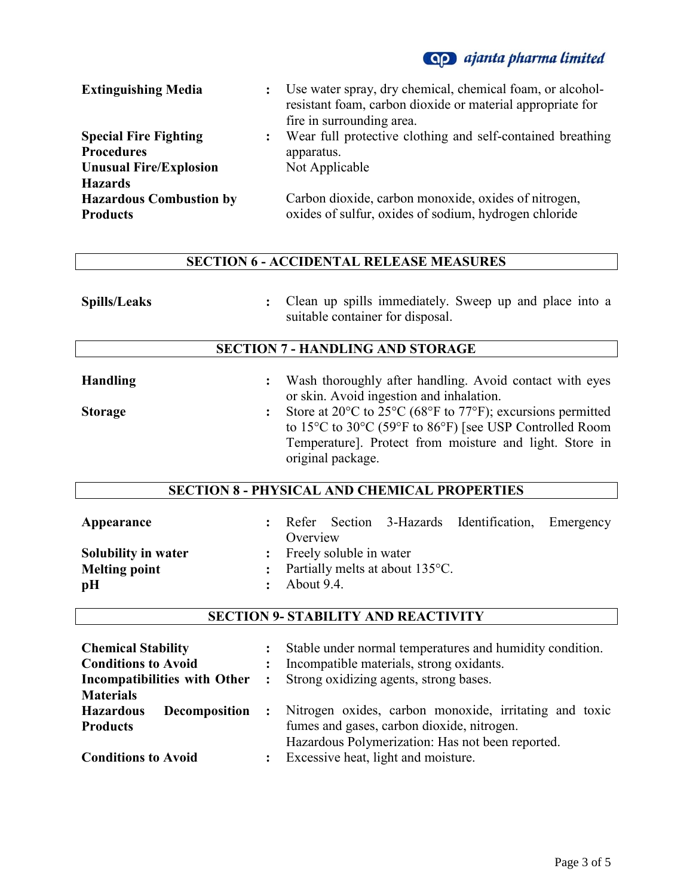# **Qp** ajanta pharma limited

| <b>Extinguishing Media</b>                                          |                | : Use water spray, dry chemical, chemical foam, or alcohol-<br>resistant foam, carbon dioxide or material appropriate for<br>fire in surrounding area. |
|---------------------------------------------------------------------|----------------|--------------------------------------------------------------------------------------------------------------------------------------------------------|
| <b>Special Fire Fighting</b><br><b>Procedures</b>                   | $\ddot{\cdot}$ | Wear full protective clothing and self-contained breathing<br>apparatus.                                                                               |
| <b>Unusual Fire/Explosion</b>                                       |                | Not Applicable                                                                                                                                         |
| <b>Hazards</b><br><b>Hazardous Combustion by</b><br><b>Products</b> |                | Carbon dioxide, carbon monoxide, oxides of nitrogen,<br>oxides of sulfur, oxides of sodium, hydrogen chloride                                          |

### **SECTION 6 - ACCIDENTAL RELEASE MEASURES**

| <b>Spills/Leaks</b> | Clean up spills immediately. Sweep up and place into a<br>$\ddot{\cdot}$<br>suitable container for disposal.                                                                                                                                                                         |
|---------------------|--------------------------------------------------------------------------------------------------------------------------------------------------------------------------------------------------------------------------------------------------------------------------------------|
|                     | <b>SECTION 7 - HANDLING AND STORAGE</b>                                                                                                                                                                                                                                              |
| <b>Handling</b>     | Wash thoroughly after handling. Avoid contact with eyes<br>$\ddot{\cdot}$                                                                                                                                                                                                            |
|                     | or skin. Avoid ingestion and inhalation.                                                                                                                                                                                                                                             |
| <b>Storage</b>      | Store at $20^{\circ}$ C to $25^{\circ}$ C (68°F to 77°F); excursions permitted<br>$\ddot{\cdot}$<br>to $15^{\circ}$ C to $30^{\circ}$ C (59 $^{\circ}$ F to $86^{\circ}$ F) [see USP Controlled Room<br>Temperature]. Protect from moisture and light. Store in<br>original package. |
|                     | <b>SECTION 8 - PHYSICAL AND CHEMICAL PROPERTIES</b>                                                                                                                                                                                                                                  |
|                     |                                                                                                                                                                                                                                                                                      |

| Appearance           |                         |                           |                                             | : Refer Section 3-Hazards Identification, Emergency |  |
|----------------------|-------------------------|---------------------------|---------------------------------------------|-----------------------------------------------------|--|
|                      | Overview                |                           |                                             |                                                     |  |
| Solubility in water  |                         | : Freely soluble in water |                                             |                                                     |  |
| <b>Melting point</b> |                         |                           | : Partially melts at about $135^{\circ}$ C. |                                                     |  |
| pH                   | $\therefore$ About 9.4. |                           |                                             |                                                     |  |

### **SECTION 9- STABILITY AND REACTIVITY**

| <b>Chemical Stability</b><br><b>Conditions to Avoid</b><br>Incompatibilities with Other<br><b>Materials</b> | $\ddot{\phantom{a}}$<br>$\ddot{\cdot}$<br>$\ddot{\cdot}$ | Stable under normal temperatures and humidity condition.<br>Incompatible materials, strong oxidants.<br>Strong oxidizing agents, strong bases.                                                  |
|-------------------------------------------------------------------------------------------------------------|----------------------------------------------------------|-------------------------------------------------------------------------------------------------------------------------------------------------------------------------------------------------|
| <b>Hazardous</b><br><b>Decomposition</b><br><b>Products</b><br><b>Conditions to Avoid</b>                   | $\mathbf{r}$<br>$\ddot{\cdot}$                           | Nitrogen oxides, carbon monoxide, irritating and toxic<br>fumes and gases, carbon dioxide, nitrogen.<br>Hazardous Polymerization: Has not been reported.<br>Excessive heat, light and moisture. |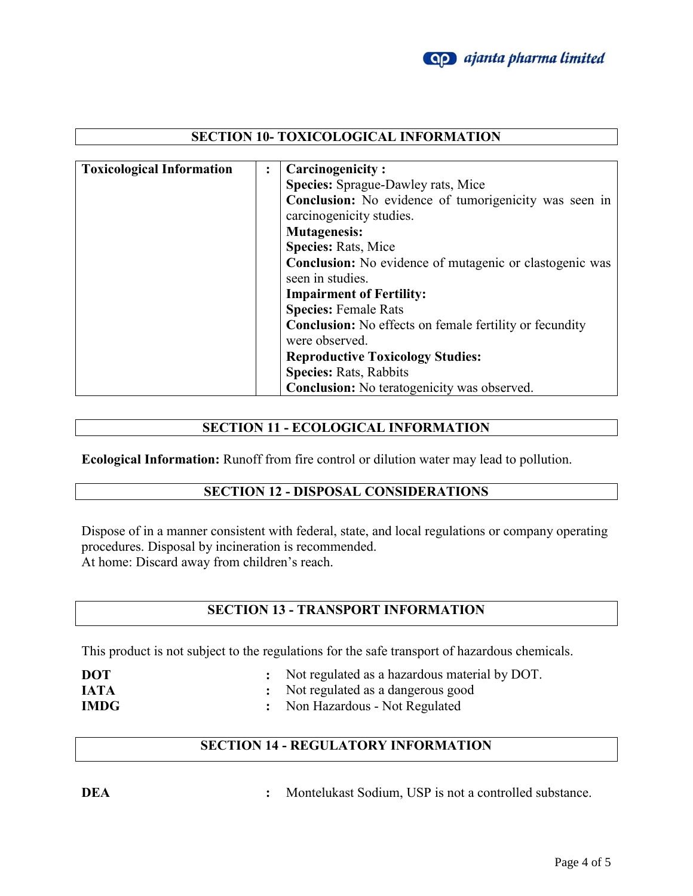

### **SECTION 10- TOXICOLOGICAL INFORMATION**

| <b>Toxicological Information</b> | $\ddot{\cdot}$ | <b>Carcinogenicity:</b>                                        |  |
|----------------------------------|----------------|----------------------------------------------------------------|--|
|                                  |                | <b>Species:</b> Sprague-Dawley rats, Mice                      |  |
|                                  |                | Conclusion: No evidence of tumorigenicity was seen in          |  |
|                                  |                | carcinogenicity studies.                                       |  |
|                                  |                | <b>Mutagenesis:</b>                                            |  |
|                                  |                | <b>Species: Rats, Mice</b>                                     |  |
|                                  |                | <b>Conclusion:</b> No evidence of mutagenic or clastogenic was |  |
|                                  |                | seen in studies.                                               |  |
|                                  |                | <b>Impairment of Fertility:</b>                                |  |
|                                  |                | <b>Species: Female Rats</b>                                    |  |
|                                  |                | <b>Conclusion:</b> No effects on female fertility or fecundity |  |
|                                  |                | were observed.                                                 |  |
|                                  |                | <b>Reproductive Toxicology Studies:</b>                        |  |
|                                  |                | <b>Species: Rats, Rabbits</b>                                  |  |
|                                  |                | <b>Conclusion:</b> No teratogenicity was observed.             |  |

#### **SECTION 11 - ECOLOGICAL INFORMATION**

**Ecological Information:** Runoff from fire control or dilution water may lead to pollution.

### **SECTION 12 - DISPOSAL CONSIDERATIONS**

Dispose of in a manner consistent with federal, state, and local regulations or company operating procedures. Disposal by incineration is recommended. At home: Discard away from children's reach.

### **SECTION 13 - TRANSPORT INFORMATION**

This product is not subject to the regulations for the safe transport of hazardous chemicals.

| <b>DOT</b>  | : Not regulated as a hazardous material by DOT. |
|-------------|-------------------------------------------------|
| <b>IATA</b> | : Not regulated as a dangerous good             |
| <b>IMDG</b> | : Non Hazardous - Not Regulated                 |

### **SECTION 14 - REGULATORY INFORMATION**

**DEA :** Montelukast Sodium, USP is not a controlled substance.